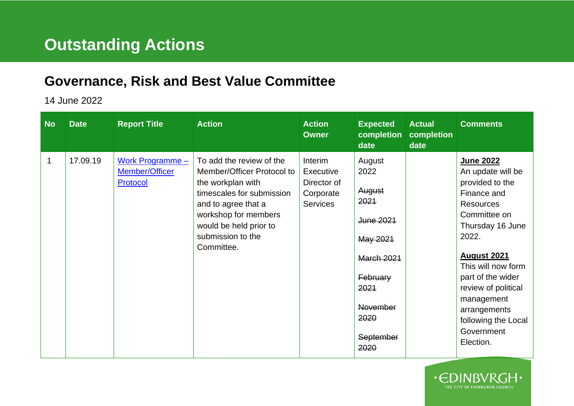## **Outstanding Actions**

## **Governance, Risk and Best Value Committee**

## 14 June 2022

| <b>No</b> | <b>Date</b> | <b>Report Title</b>                              | <b>Action</b>                                                                                                                                                                                                        | <b>Action</b><br><b>Owner</b>                                       | <b>Expected</b><br>completion<br>date                                                                                                              | <b>Actual</b><br>completion<br>date | <b>Comments</b>                                                                                                                                                                                                                                                                                           |
|-----------|-------------|--------------------------------------------------|----------------------------------------------------------------------------------------------------------------------------------------------------------------------------------------------------------------------|---------------------------------------------------------------------|----------------------------------------------------------------------------------------------------------------------------------------------------|-------------------------------------|-----------------------------------------------------------------------------------------------------------------------------------------------------------------------------------------------------------------------------------------------------------------------------------------------------------|
| 1         | 17.09.19    | Work Programme $-$<br>Member/Officer<br>Protocol | To add the review of the<br>Member/Officer Protocol to<br>the workplan with<br>timescales for submission<br>and to agree that a<br>workshop for members<br>would be held prior to<br>submission to the<br>Committee. | Interim<br>Executive<br>Director of<br>Corporate<br><b>Services</b> | August<br>2022<br>August<br>2021<br>June 2021<br>May 2021<br><b>March 2021</b><br>February<br>2021<br><b>November</b><br>2020<br>September<br>2020 |                                     | June 2022<br>An update will be<br>provided to the<br>Finance and<br><b>Resources</b><br>Committee on<br>Thursday 16 June<br>2022.<br><b>August 2021</b><br>This will now form<br>part of the wider<br>review of political<br>management<br>arrangements<br>following the Local<br>Government<br>Election. |

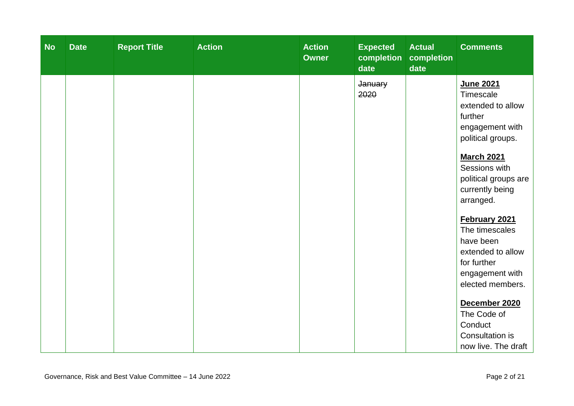| <b>No</b> | <b>Date</b> | <b>Report Title</b> | <b>Action</b> | <b>Action</b><br><b>Owner</b> | <b>Expected</b><br>completion<br>date | <b>Actual</b><br>completion<br>date | <b>Comments</b>                                                                                                                                                                                                                                                                                                                                         |
|-----------|-------------|---------------------|---------------|-------------------------------|---------------------------------------|-------------------------------------|---------------------------------------------------------------------------------------------------------------------------------------------------------------------------------------------------------------------------------------------------------------------------------------------------------------------------------------------------------|
|           |             |                     |               |                               | January<br>2020                       |                                     | June 2021<br>Timescale<br>extended to allow<br>further<br>engagement with<br>political groups.<br><b>March 2021</b><br>Sessions with<br>political groups are<br>currently being<br>arranged.<br>February 2021<br>The timescales<br>have been<br>extended to allow<br>for further<br>engagement with<br>elected members.<br>December 2020<br>The Code of |
|           |             |                     |               |                               |                                       |                                     | Conduct<br>Consultation is<br>now live. The draft                                                                                                                                                                                                                                                                                                       |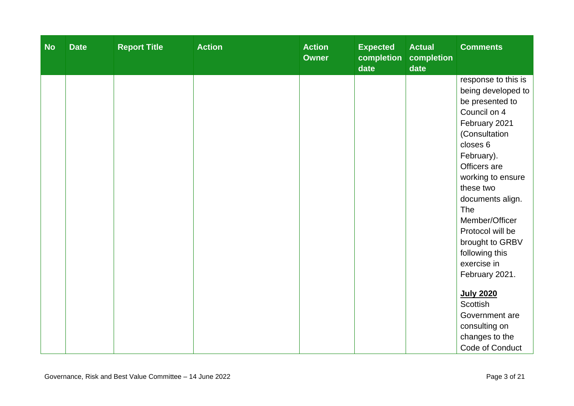| <b>No</b> | <b>Date</b> | <b>Report Title</b> | <b>Action</b> | <b>Action</b><br><b>Owner</b> | <b>Expected</b><br>completion<br>date | <b>Actual</b><br>completion<br>date | <b>Comments</b>     |
|-----------|-------------|---------------------|---------------|-------------------------------|---------------------------------------|-------------------------------------|---------------------|
|           |             |                     |               |                               |                                       |                                     | response to this is |
|           |             |                     |               |                               |                                       |                                     | being developed to  |
|           |             |                     |               |                               |                                       |                                     | be presented to     |
|           |             |                     |               |                               |                                       |                                     | Council on 4        |
|           |             |                     |               |                               |                                       |                                     | February 2021       |
|           |             |                     |               |                               |                                       |                                     | (Consultation       |
|           |             |                     |               |                               |                                       |                                     | closes 6            |
|           |             |                     |               |                               |                                       |                                     | February).          |
|           |             |                     |               |                               |                                       |                                     | Officers are        |
|           |             |                     |               |                               |                                       |                                     | working to ensure   |
|           |             |                     |               |                               |                                       |                                     | these two           |
|           |             |                     |               |                               |                                       |                                     | documents align.    |
|           |             |                     |               |                               |                                       |                                     | The                 |
|           |             |                     |               |                               |                                       |                                     | Member/Officer      |
|           |             |                     |               |                               |                                       |                                     | Protocol will be    |
|           |             |                     |               |                               |                                       |                                     | brought to GRBV     |
|           |             |                     |               |                               |                                       |                                     | following this      |
|           |             |                     |               |                               |                                       |                                     | exercise in         |
|           |             |                     |               |                               |                                       |                                     | February 2021.      |
|           |             |                     |               |                               |                                       |                                     | <b>July 2020</b>    |
|           |             |                     |               |                               |                                       |                                     | <b>Scottish</b>     |
|           |             |                     |               |                               |                                       |                                     | Government are      |
|           |             |                     |               |                               |                                       |                                     | consulting on       |
|           |             |                     |               |                               |                                       |                                     | changes to the      |
|           |             |                     |               |                               |                                       |                                     | Code of Conduct     |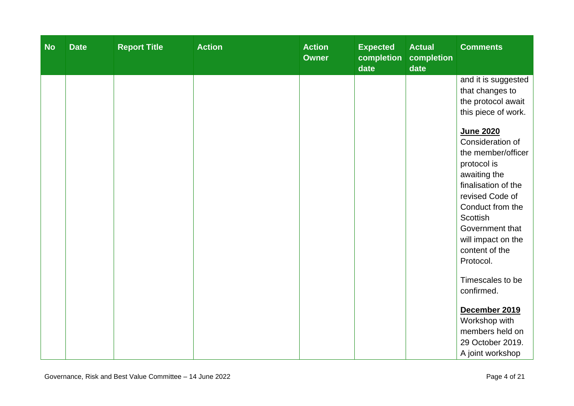| <b>No</b> | <b>Date</b> | <b>Report Title</b> | <b>Action</b> | <b>Action</b><br><b>Owner</b> | <b>Expected</b><br>completion<br>date | <b>Actual</b><br>completion<br>date | <b>Comments</b>                        |
|-----------|-------------|---------------------|---------------|-------------------------------|---------------------------------------|-------------------------------------|----------------------------------------|
|           |             |                     |               |                               |                                       |                                     | and it is suggested<br>that changes to |
|           |             |                     |               |                               |                                       |                                     | the protocol await                     |
|           |             |                     |               |                               |                                       |                                     | this piece of work.                    |
|           |             |                     |               |                               |                                       |                                     | <b>June 2020</b>                       |
|           |             |                     |               |                               |                                       |                                     | Consideration of                       |
|           |             |                     |               |                               |                                       |                                     | the member/officer                     |
|           |             |                     |               |                               |                                       |                                     | protocol is                            |
|           |             |                     |               |                               |                                       |                                     | awaiting the                           |
|           |             |                     |               |                               |                                       |                                     | finalisation of the                    |
|           |             |                     |               |                               |                                       |                                     | revised Code of                        |
|           |             |                     |               |                               |                                       |                                     | Conduct from the                       |
|           |             |                     |               |                               |                                       |                                     | <b>Scottish</b><br>Government that     |
|           |             |                     |               |                               |                                       |                                     | will impact on the                     |
|           |             |                     |               |                               |                                       |                                     | content of the                         |
|           |             |                     |               |                               |                                       |                                     | Protocol.                              |
|           |             |                     |               |                               |                                       |                                     |                                        |
|           |             |                     |               |                               |                                       |                                     | Timescales to be                       |
|           |             |                     |               |                               |                                       |                                     | confirmed.                             |
|           |             |                     |               |                               |                                       |                                     | December 2019                          |
|           |             |                     |               |                               |                                       |                                     | Workshop with                          |
|           |             |                     |               |                               |                                       |                                     | members held on                        |
|           |             |                     |               |                               |                                       |                                     | 29 October 2019.                       |
|           |             |                     |               |                               |                                       |                                     | A joint workshop                       |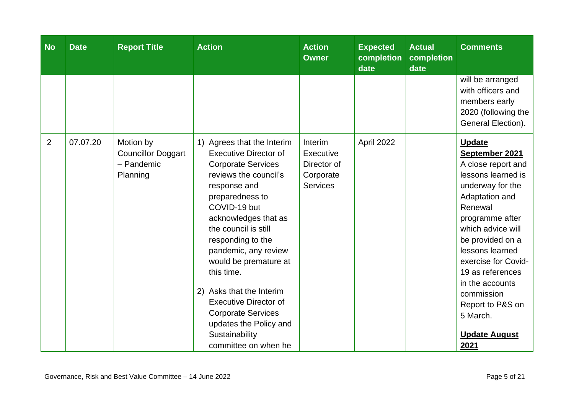| <b>No</b>      | <b>Date</b> | <b>Report Title</b>                                              | <b>Action</b>                                                                                                                                                                                                                                                                                                                                                                                                                                                        | <b>Action</b><br><b>Owner</b>                                       | <b>Expected</b><br>completion<br>date | <b>Actual</b><br>completion<br>date | <b>Comments</b>                                                                                                                                                                                                                                                                                                                                         |
|----------------|-------------|------------------------------------------------------------------|----------------------------------------------------------------------------------------------------------------------------------------------------------------------------------------------------------------------------------------------------------------------------------------------------------------------------------------------------------------------------------------------------------------------------------------------------------------------|---------------------------------------------------------------------|---------------------------------------|-------------------------------------|---------------------------------------------------------------------------------------------------------------------------------------------------------------------------------------------------------------------------------------------------------------------------------------------------------------------------------------------------------|
|                |             |                                                                  |                                                                                                                                                                                                                                                                                                                                                                                                                                                                      |                                                                     |                                       |                                     | will be arranged<br>with officers and<br>members early<br>2020 (following the<br>General Election).                                                                                                                                                                                                                                                     |
| $\overline{2}$ | 07.07.20    | Motion by<br><b>Councillor Doggart</b><br>- Pandemic<br>Planning | 1) Agrees that the Interim<br><b>Executive Director of</b><br><b>Corporate Services</b><br>reviews the council's<br>response and<br>preparedness to<br>COVID-19 but<br>acknowledges that as<br>the council is still<br>responding to the<br>pandemic, any review<br>would be premature at<br>this time.<br>2) Asks that the Interim<br><b>Executive Director of</b><br><b>Corporate Services</b><br>updates the Policy and<br>Sustainability<br>committee on when he | Interim<br>Executive<br>Director of<br>Corporate<br><b>Services</b> | April 2022                            |                                     | <b>Update</b><br>September 2021<br>A close report and<br>lessons learned is<br>underway for the<br>Adaptation and<br>Renewal<br>programme after<br>which advice will<br>be provided on a<br>lessons learned<br>exercise for Covid-<br>19 as references<br>in the accounts<br>commission<br>Report to P&S on<br>5 March.<br><b>Update August</b><br>2021 |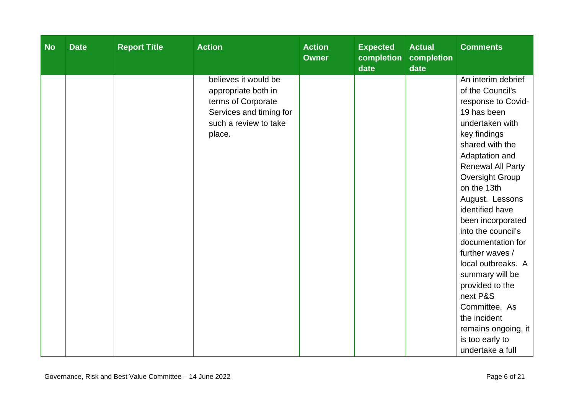| <b>No</b> | <b>Report Title</b><br><b>Date</b> | <b>Action</b>                                                                                                                   | <b>Action</b><br><b>Owner</b> | <b>Expected</b><br>completion<br>date | <b>Actual</b><br>completion<br>date | <b>Comments</b>                                                                                                                                                                                                                                                                                                                                                                                                                                                                                                          |
|-----------|------------------------------------|---------------------------------------------------------------------------------------------------------------------------------|-------------------------------|---------------------------------------|-------------------------------------|--------------------------------------------------------------------------------------------------------------------------------------------------------------------------------------------------------------------------------------------------------------------------------------------------------------------------------------------------------------------------------------------------------------------------------------------------------------------------------------------------------------------------|
|           |                                    | believes it would be<br>appropriate both in<br>terms of Corporate<br>Services and timing for<br>such a review to take<br>place. |                               |                                       |                                     | An interim debrief<br>of the Council's<br>response to Covid-<br>19 has been<br>undertaken with<br>key findings<br>shared with the<br>Adaptation and<br><b>Renewal All Party</b><br><b>Oversight Group</b><br>on the 13th<br>August. Lessons<br>identified have<br>been incorporated<br>into the council's<br>documentation for<br>further waves /<br>local outbreaks. A<br>summary will be<br>provided to the<br>next P&S<br>Committee. As<br>the incident<br>remains ongoing, it<br>is too early to<br>undertake a full |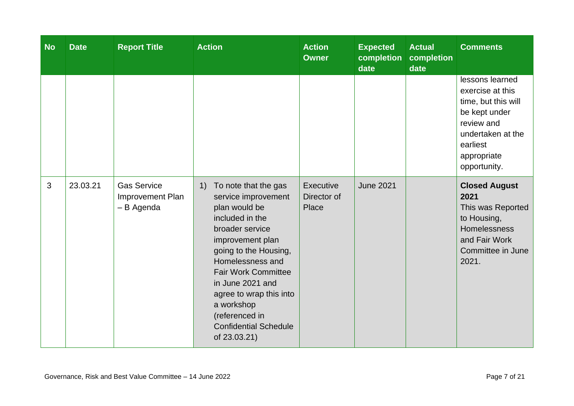| <b>No</b> | <b>Date</b> | <b>Report Title</b>                                  | <b>Action</b>                                                                                                                                                                                                                                                                                                                          | <b>Action</b><br><b>Owner</b>     | <b>Expected</b><br>completion<br>date | <b>Actual</b><br>completion<br>date | <b>Comments</b>                                                                                                                                           |
|-----------|-------------|------------------------------------------------------|----------------------------------------------------------------------------------------------------------------------------------------------------------------------------------------------------------------------------------------------------------------------------------------------------------------------------------------|-----------------------------------|---------------------------------------|-------------------------------------|-----------------------------------------------------------------------------------------------------------------------------------------------------------|
|           |             |                                                      |                                                                                                                                                                                                                                                                                                                                        |                                   |                                       |                                     | lessons learned<br>exercise at this<br>time, but this will<br>be kept under<br>review and<br>undertaken at the<br>earliest<br>appropriate<br>opportunity. |
| 3         | 23.03.21    | <b>Gas Service</b><br>Improvement Plan<br>- B Agenda | To note that the gas<br>1)<br>service improvement<br>plan would be<br>included in the<br>broader service<br>improvement plan<br>going to the Housing,<br>Homelessness and<br><b>Fair Work Committee</b><br>in June 2021 and<br>agree to wrap this into<br>a workshop<br>(referenced in<br><b>Confidential Schedule</b><br>of 23.03.21) | Executive<br>Director of<br>Place | <b>June 2021</b>                      |                                     | <b>Closed August</b><br>2021<br>This was Reported<br>to Housing,<br>Homelessness<br>and Fair Work<br>Committee in June<br>2021.                           |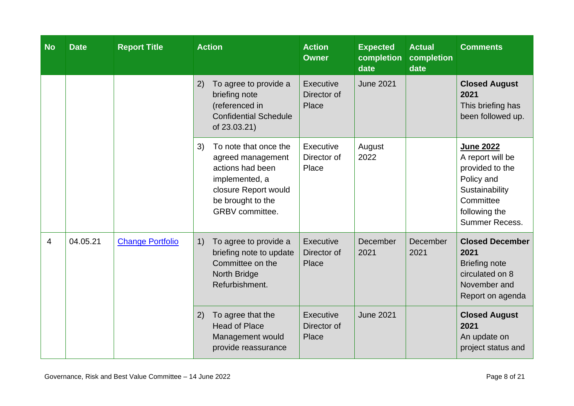| <b>No</b> | <b>Date</b> | <b>Report Title</b>     | <b>Action</b>                                                                                                                                          | <b>Action</b><br><b>Owner</b>     | <b>Expected</b><br>completion<br>date | <b>Actual</b><br>completion<br>date | <b>Comments</b>                                                                                                                         |
|-----------|-------------|-------------------------|--------------------------------------------------------------------------------------------------------------------------------------------------------|-----------------------------------|---------------------------------------|-------------------------------------|-----------------------------------------------------------------------------------------------------------------------------------------|
|           |             |                         | 2)<br>To agree to provide a<br>briefing note<br>(referenced in<br><b>Confidential Schedule</b><br>of 23.03.21)                                         | Executive<br>Director of<br>Place | <b>June 2021</b>                      |                                     | <b>Closed August</b><br>2021<br>This briefing has<br>been followed up.                                                                  |
|           |             |                         | To note that once the<br>3)<br>agreed management<br>actions had been<br>implemented, a<br>closure Report would<br>be brought to the<br>GRBV committee. | Executive<br>Director of<br>Place | August<br>2022                        |                                     | <b>June 2022</b><br>A report will be<br>provided to the<br>Policy and<br>Sustainability<br>Committee<br>following the<br>Summer Recess. |
| 4         | 04.05.21    | <b>Change Portfolio</b> | To agree to provide a<br>1)<br>briefing note to update<br>Committee on the<br>North Bridge<br>Refurbishment.                                           | Executive<br>Director of<br>Place | December<br>2021                      | December<br>2021                    | <b>Closed December</b><br>2021<br><b>Briefing note</b><br>circulated on 8<br>November and<br>Report on agenda                           |
|           |             |                         | To agree that the<br>2)<br><b>Head of Place</b><br>Management would<br>provide reassurance                                                             | Executive<br>Director of<br>Place | <b>June 2021</b>                      |                                     | <b>Closed August</b><br>2021<br>An update on<br>project status and                                                                      |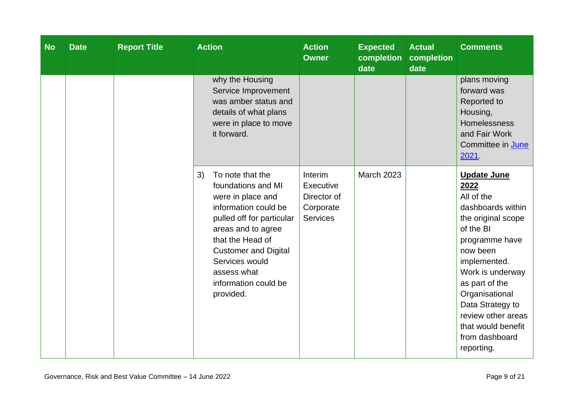| <b>No</b> | <b>Date</b> | <b>Report Title</b> | <b>Action</b>                                                                                                                                                                                                                                                         | <b>Action</b><br><b>Owner</b>                                       | <b>Expected</b><br>completion<br>date | <b>Actual</b><br>completion<br>date | <b>Comments</b>                                                                                                                                                                                                                                                                                        |
|-----------|-------------|---------------------|-----------------------------------------------------------------------------------------------------------------------------------------------------------------------------------------------------------------------------------------------------------------------|---------------------------------------------------------------------|---------------------------------------|-------------------------------------|--------------------------------------------------------------------------------------------------------------------------------------------------------------------------------------------------------------------------------------------------------------------------------------------------------|
|           |             |                     | why the Housing<br>Service Improvement<br>was amber status and<br>details of what plans<br>were in place to move<br>it forward.                                                                                                                                       |                                                                     |                                       |                                     | plans moving<br>forward was<br>Reported to<br>Housing,<br><b>Homelessness</b><br>and Fair Work<br>Committee in June<br>2021                                                                                                                                                                            |
|           |             |                     | To note that the<br>3)<br>foundations and MI<br>were in place and<br>information could be<br>pulled off for particular<br>areas and to agree<br>that the Head of<br><b>Customer and Digital</b><br>Services would<br>assess what<br>information could be<br>provided. | Interim<br>Executive<br>Director of<br>Corporate<br><b>Services</b> | <b>March 2023</b>                     |                                     | <b>Update June</b><br>2022<br>All of the<br>dashboards within<br>the original scope<br>of the BI<br>programme have<br>now been<br>implemented.<br>Work is underway<br>as part of the<br>Organisational<br>Data Strategy to<br>review other areas<br>that would benefit<br>from dashboard<br>reporting. |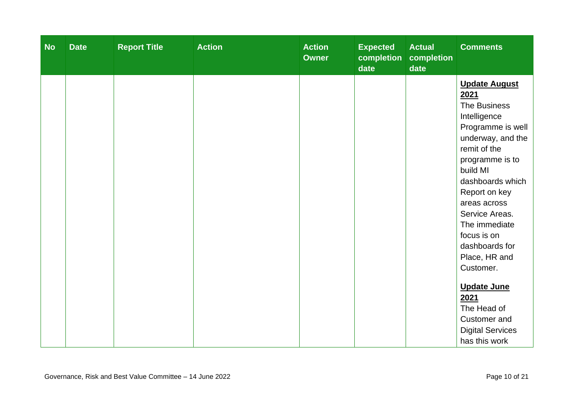| <b>No</b> | <b>Date</b> | <b>Report Title</b> | <b>Action</b> | <b>Action</b><br><b>Owner</b> | <b>Expected</b><br>completion<br>date | <b>Actual</b><br>completion<br>date | <b>Comments</b>                                                                                                                                       |
|-----------|-------------|---------------------|---------------|-------------------------------|---------------------------------------|-------------------------------------|-------------------------------------------------------------------------------------------------------------------------------------------------------|
|           |             |                     |               |                               |                                       |                                     | <b>Update August</b><br>2021<br>The Business<br>Intelligence<br>Programme is well<br>underway, and the<br>remit of the<br>programme is to<br>build MI |
|           |             |                     |               |                               |                                       |                                     | dashboards which<br>Report on key<br>areas across<br>Service Areas.<br>The immediate<br>focus is on<br>dashboards for<br>Place, HR and<br>Customer.   |
|           |             |                     |               |                               |                                       |                                     | <b>Update June</b><br>2021<br>The Head of<br>Customer and<br><b>Digital Services</b><br>has this work                                                 |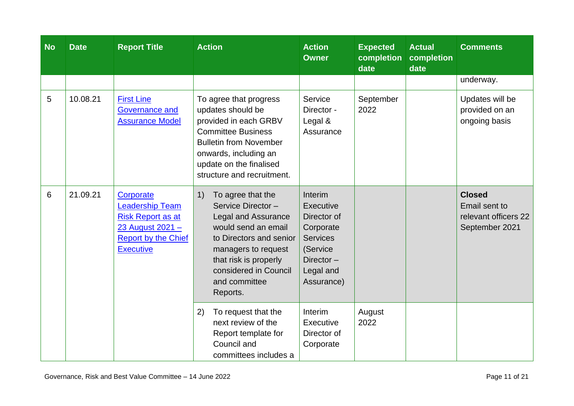| <b>No</b> | <b>Date</b> | <b>Report Title</b>                                                                                                                   | <b>Action</b>                                                                                                                                                                                                                      | <b>Action</b><br><b>Owner</b>                                                                                              | <b>Expected</b><br>completion<br>date | <b>Actual</b><br>completion<br>date | <b>Comments</b>                                                          |
|-----------|-------------|---------------------------------------------------------------------------------------------------------------------------------------|------------------------------------------------------------------------------------------------------------------------------------------------------------------------------------------------------------------------------------|----------------------------------------------------------------------------------------------------------------------------|---------------------------------------|-------------------------------------|--------------------------------------------------------------------------|
|           |             |                                                                                                                                       |                                                                                                                                                                                                                                    |                                                                                                                            |                                       |                                     | underway.                                                                |
| 5         | 10.08.21    | <b>First Line</b><br><b>Governance and</b><br><b>Assurance Model</b>                                                                  | To agree that progress<br>updates should be<br>provided in each GRBV<br><b>Committee Business</b><br><b>Bulletin from November</b><br>onwards, including an<br>update on the finalised<br>structure and recruitment.               | Service<br>Director -<br>Legal &<br>Assurance                                                                              | September<br>2022                     |                                     | Updates will be<br>provided on an<br>ongoing basis                       |
| 6         | 21.09.21    | Corporate<br><b>Leadership Team</b><br><b>Risk Report as at</b><br>23 August 2021 -<br><b>Report by the Chief</b><br><b>Executive</b> | 1)<br>To agree that the<br>Service Director-<br><b>Legal and Assurance</b><br>would send an email<br>to Directors and senior<br>managers to request<br>that risk is properly<br>considered in Council<br>and committee<br>Reports. | Interim<br>Executive<br>Director of<br>Corporate<br><b>Services</b><br>(Service<br>Director $-$<br>Legal and<br>Assurance) |                                       |                                     | <b>Closed</b><br>Email sent to<br>relevant officers 22<br>September 2021 |
|           |             |                                                                                                                                       | To request that the<br>2)<br>next review of the<br>Report template for<br>Council and<br>committees includes a                                                                                                                     | Interim<br><b>Executive</b><br>Director of<br>Corporate                                                                    | August<br>2022                        |                                     |                                                                          |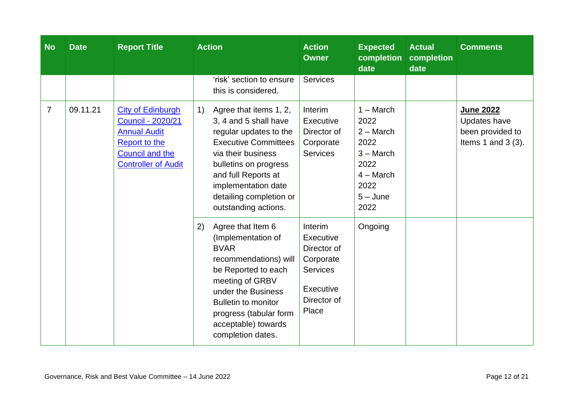| <b>No</b>      | <b>Date</b> | <b>Report Title</b>                                                                                                                                         | <b>Action</b>                                                                                                                                                                                                                                                                                              | <b>Action</b><br><b>Owner</b>                                                                                   | <b>Expected</b><br>completion<br>date                                                                          | <b>Actual</b><br>completion<br>date | <b>Comments</b>                                                        |
|----------------|-------------|-------------------------------------------------------------------------------------------------------------------------------------------------------------|------------------------------------------------------------------------------------------------------------------------------------------------------------------------------------------------------------------------------------------------------------------------------------------------------------|-----------------------------------------------------------------------------------------------------------------|----------------------------------------------------------------------------------------------------------------|-------------------------------------|------------------------------------------------------------------------|
|                |             |                                                                                                                                                             | 'risk' section to ensure<br>this is considered.                                                                                                                                                                                                                                                            | <b>Services</b>                                                                                                 |                                                                                                                |                                     |                                                                        |
| $\overline{7}$ | 09.11.21    | <b>City of Edinburgh</b><br><b>Council - 2020/21</b><br><b>Annual Audit</b><br><b>Report to the</b><br><b>Council and the</b><br><b>Controller of Audit</b> | Agree that items 1, 2,<br>$\left( \begin{matrix} 1 \end{matrix} \right)$<br>3, 4 and 5 shall have<br>regular updates to the<br><b>Executive Committees</b><br>via their business<br>bulletins on progress<br>and full Reports at<br>implementation date<br>detailing completion or<br>outstanding actions. | Interim<br>Executive<br>Director of<br>Corporate<br><b>Services</b>                                             | $1 - March$<br>2022<br>$2 - March$<br>2022<br>$3 - March$<br>2022<br>$4 - March$<br>2022<br>$5 - June$<br>2022 |                                     | June 2022<br>Updates have<br>been provided to<br>Items 1 and 3 $(3)$ . |
|                |             |                                                                                                                                                             | Agree that Item 6<br>2)<br>(Implementation of<br><b>BVAR</b><br>recommendations) will<br>be Reported to each<br>meeting of GRBV<br>under the Business<br><b>Bulletin to monitor</b><br>progress (tabular form<br>acceptable) towards<br>completion dates.                                                  | <b>Interim</b><br>Executive<br>Director of<br>Corporate<br><b>Services</b><br>Executive<br>Director of<br>Place | Ongoing                                                                                                        |                                     |                                                                        |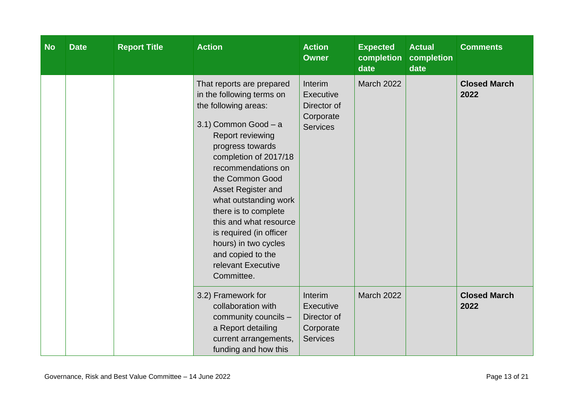| <b>No</b> | <b>Date</b> | <b>Report Title</b> | <b>Action</b>                                                                                                                                                                                                                                                                                                                                                                                                                 | <b>Action</b><br><b>Owner</b>                                       | <b>Expected</b><br>completion<br>date | <b>Actual</b><br>completion<br>date | <b>Comments</b>             |
|-----------|-------------|---------------------|-------------------------------------------------------------------------------------------------------------------------------------------------------------------------------------------------------------------------------------------------------------------------------------------------------------------------------------------------------------------------------------------------------------------------------|---------------------------------------------------------------------|---------------------------------------|-------------------------------------|-----------------------------|
|           |             |                     | That reports are prepared<br>in the following terms on<br>the following areas:<br>3.1) Common Good - a<br>Report reviewing<br>progress towards<br>completion of 2017/18<br>recommendations on<br>the Common Good<br>Asset Register and<br>what outstanding work<br>there is to complete<br>this and what resource<br>is required (in officer<br>hours) in two cycles<br>and copied to the<br>relevant Executive<br>Committee. | Interim<br>Executive<br>Director of<br>Corporate<br><b>Services</b> | <b>March 2022</b>                     |                                     | <b>Closed March</b><br>2022 |
|           |             |                     | 3.2) Framework for<br>collaboration with<br>community councils -<br>a Report detailing<br>current arrangements,<br>funding and how this                                                                                                                                                                                                                                                                                       | Interim<br>Executive<br>Director of<br>Corporate<br><b>Services</b> | <b>March 2022</b>                     |                                     | <b>Closed March</b><br>2022 |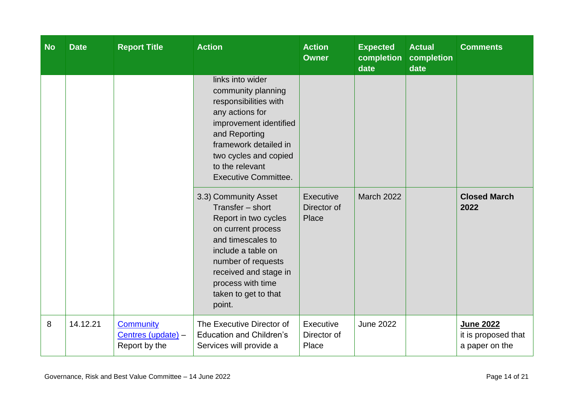| <b>No</b> | <b>Date</b> | <b>Report Title</b>                                     | <b>Action</b>                                                                                                                                                                                                                           | <b>Action</b><br><b>Owner</b>     | <b>Expected</b><br>completion<br>date | <b>Actual</b><br>completion<br>date | <b>Comments</b>                                    |
|-----------|-------------|---------------------------------------------------------|-----------------------------------------------------------------------------------------------------------------------------------------------------------------------------------------------------------------------------------------|-----------------------------------|---------------------------------------|-------------------------------------|----------------------------------------------------|
|           |             |                                                         | links into wider<br>community planning<br>responsibilities with<br>any actions for<br>improvement identified<br>and Reporting<br>framework detailed in<br>two cycles and copied<br>to the relevant<br><b>Executive Committee.</b>       |                                   |                                       |                                     |                                                    |
|           |             |                                                         | 3.3) Community Asset<br>Transfer - short<br>Report in two cycles<br>on current process<br>and timescales to<br>include a table on<br>number of requests<br>received and stage in<br>process with time<br>taken to get to that<br>point. | Executive<br>Director of<br>Place | <b>March 2022</b>                     |                                     | <b>Closed March</b><br>2022                        |
| 8         | 14.12.21    | <b>Community</b><br>Centres (update) -<br>Report by the | The Executive Director of<br><b>Education and Children's</b><br>Services will provide a                                                                                                                                                 | Executive<br>Director of<br>Place | <b>June 2022</b>                      |                                     | June 2022<br>it is proposed that<br>a paper on the |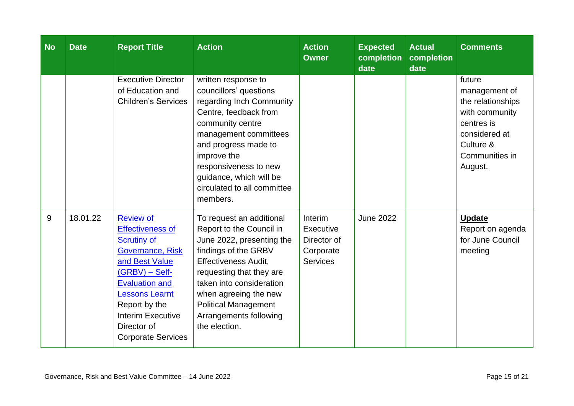| <b>No</b> | <b>Date</b> | <b>Report Title</b>                                                                                                                                                                                                                                                           | <b>Action</b>                                                                                                                                                                                                                                                                                       | <b>Action</b><br><b>Owner</b>                                       | <b>Expected</b><br>completion<br>date | <b>Actual</b><br>completion<br>date | <b>Comments</b>                                                                                                                         |
|-----------|-------------|-------------------------------------------------------------------------------------------------------------------------------------------------------------------------------------------------------------------------------------------------------------------------------|-----------------------------------------------------------------------------------------------------------------------------------------------------------------------------------------------------------------------------------------------------------------------------------------------------|---------------------------------------------------------------------|---------------------------------------|-------------------------------------|-----------------------------------------------------------------------------------------------------------------------------------------|
|           |             | <b>Executive Director</b><br>of Education and<br><b>Children's Services</b>                                                                                                                                                                                                   | written response to<br>councillors' questions<br>regarding Inch Community<br>Centre, feedback from<br>community centre<br>management committees<br>and progress made to<br>improve the<br>responsiveness to new<br>guidance, which will be<br>circulated to all committee<br>members.               |                                                                     |                                       |                                     | future<br>management of<br>the relationships<br>with community<br>centres is<br>considered at<br>Culture &<br>Communities in<br>August. |
| 9         | 18.01.22    | <b>Review of</b><br><b>Effectiveness of</b><br><b>Scrutiny of</b><br><b>Governance, Risk</b><br>and Best Value<br>$(GRBV) - Self-$<br><b>Evaluation and</b><br><b>Lessons Learnt</b><br>Report by the<br><b>Interim Executive</b><br>Director of<br><b>Corporate Services</b> | To request an additional<br>Report to the Council in<br>June 2022, presenting the<br>findings of the GRBV<br><b>Effectiveness Audit,</b><br>requesting that they are<br>taken into consideration<br>when agreeing the new<br><b>Political Management</b><br>Arrangements following<br>the election. | Interim<br>Executive<br>Director of<br>Corporate<br><b>Services</b> | <b>June 2022</b>                      |                                     | <b>Update</b><br>Report on agenda<br>for June Council<br>meeting                                                                        |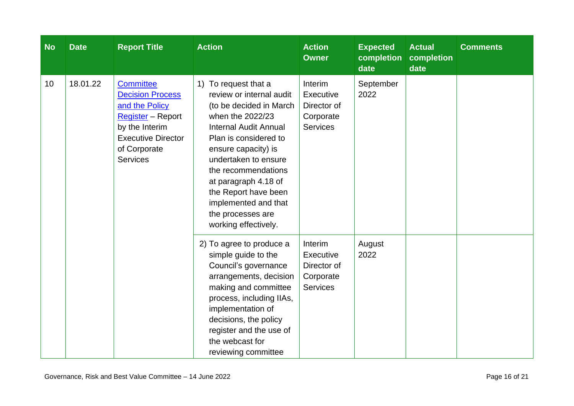| <b>No</b> | <b>Date</b> | <b>Report Title</b>                                                                                                                                                  | <b>Action</b>                                                                                                                                                                                                                                                                                                                                          | <b>Action</b><br><b>Owner</b>                                              | <b>Expected</b><br>completion<br>date | <b>Actual</b><br>completion<br>date | <b>Comments</b> |
|-----------|-------------|----------------------------------------------------------------------------------------------------------------------------------------------------------------------|--------------------------------------------------------------------------------------------------------------------------------------------------------------------------------------------------------------------------------------------------------------------------------------------------------------------------------------------------------|----------------------------------------------------------------------------|---------------------------------------|-------------------------------------|-----------------|
| 10        | 18.01.22    | <b>Committee</b><br><b>Decision Process</b><br>and the Policy<br>Register - Report<br>by the Interim<br><b>Executive Director</b><br>of Corporate<br><b>Services</b> | To request that a<br>1)<br>review or internal audit<br>(to be decided in March<br>when the 2022/23<br><b>Internal Audit Annual</b><br>Plan is considered to<br>ensure capacity) is<br>undertaken to ensure<br>the recommendations<br>at paragraph 4.18 of<br>the Report have been<br>implemented and that<br>the processes are<br>working effectively. | <b>Interim</b><br>Executive<br>Director of<br>Corporate<br><b>Services</b> | September<br>2022                     |                                     |                 |
|           |             |                                                                                                                                                                      | 2) To agree to produce a<br>simple guide to the<br>Council's governance<br>arrangements, decision<br>making and committee<br>process, including IIAs,<br>implementation of<br>decisions, the policy<br>register and the use of<br>the webcast for<br>reviewing committee                                                                               | Interim<br>Executive<br>Director of<br>Corporate<br><b>Services</b>        | August<br>2022                        |                                     |                 |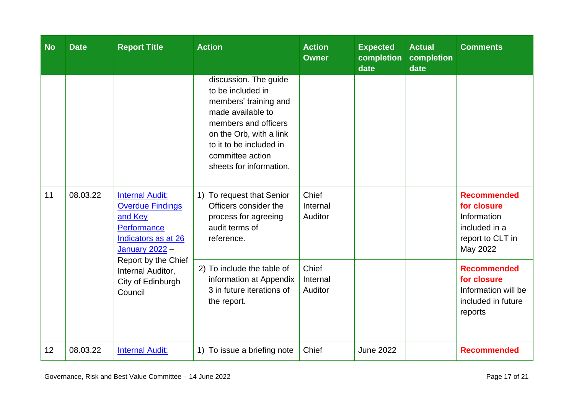| <b>No</b> | <b>Date</b> | <b>Report Title</b>                                                                                                  | <b>Action</b>                                                                                                                                                                                                         | <b>Action</b><br><b>Owner</b> | <b>Expected</b><br>completion<br>date | <b>Actual</b><br>completion<br>date | <b>Comments</b>                                                                                   |
|-----------|-------------|----------------------------------------------------------------------------------------------------------------------|-----------------------------------------------------------------------------------------------------------------------------------------------------------------------------------------------------------------------|-------------------------------|---------------------------------------|-------------------------------------|---------------------------------------------------------------------------------------------------|
|           |             |                                                                                                                      | discussion. The guide<br>to be included in<br>members' training and<br>made available to<br>members and officers<br>on the Orb, with a link<br>to it to be included in<br>committee action<br>sheets for information. |                               |                                       |                                     |                                                                                                   |
| 11        | 08.03.22    | <b>Internal Audit:</b><br><b>Overdue Findings</b><br>and Key<br>Performance<br>Indicators as at 26<br>January 2022 - | 1) To request that Senior<br>Officers consider the<br>process for agreeing<br>audit terms of<br>reference.                                                                                                            | Chief<br>Internal<br>Auditor  |                                       |                                     | <b>Recommended</b><br>for closure<br>Information<br>included in a<br>report to CLT in<br>May 2022 |
|           |             | Report by the Chief<br>Internal Auditor,<br>City of Edinburgh<br>Council                                             | 2) To include the table of<br>information at Appendix<br>3 in future iterations of<br>the report.                                                                                                                     | Chief<br>Internal<br>Auditor  |                                       |                                     | <b>Recommended</b><br>for closure<br>Information will be<br>included in future<br>reports         |
| 12        | 08.03.22    | <b>Internal Audit:</b>                                                                                               | 1) To issue a briefing note                                                                                                                                                                                           | Chief                         | <b>June 2022</b>                      |                                     | <b>Recommended</b>                                                                                |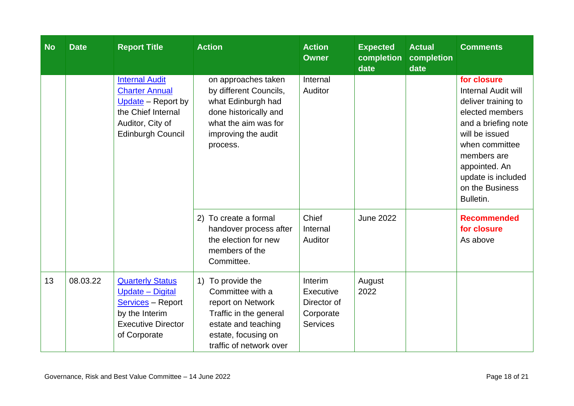| <b>No</b> | <b>Date</b> | <b>Report Title</b>                                                                                                                        | <b>Action</b>                                                                                                                                                 | <b>Action</b><br><b>Owner</b>                                       | <b>Expected</b><br>completion<br>date | <b>Actual</b><br>completion<br>date | <b>Comments</b>                                                                                                                                                                                                                      |
|-----------|-------------|--------------------------------------------------------------------------------------------------------------------------------------------|---------------------------------------------------------------------------------------------------------------------------------------------------------------|---------------------------------------------------------------------|---------------------------------------|-------------------------------------|--------------------------------------------------------------------------------------------------------------------------------------------------------------------------------------------------------------------------------------|
|           |             | <b>Internal Audit</b><br><b>Charter Annual</b><br>Update - Report by<br>the Chief Internal<br>Auditor, City of<br><b>Edinburgh Council</b> | on approaches taken<br>by different Councils,<br>what Edinburgh had<br>done historically and<br>what the aim was for<br>improving the audit<br>process.       | Internal<br>Auditor                                                 |                                       |                                     | for closure<br><b>Internal Audit will</b><br>deliver training to<br>elected members<br>and a briefing note<br>will be issued<br>when committee<br>members are<br>appointed. An<br>update is included<br>on the Business<br>Bulletin. |
|           |             |                                                                                                                                            | 2) To create a formal<br>handover process after<br>the election for new<br>members of the<br>Committee.                                                       | Chief<br>Internal<br>Auditor                                        | <b>June 2022</b>                      |                                     | <b>Recommended</b><br>for closure<br>As above                                                                                                                                                                                        |
| 13        | 08.03.22    | <b>Quarterly Status</b><br>Update - Digital<br><b>Services</b> - Report<br>by the Interim<br><b>Executive Director</b><br>of Corporate     | 1) To provide the<br>Committee with a<br>report on Network<br>Traffic in the general<br>estate and teaching<br>estate, focusing on<br>traffic of network over | Interim<br>Executive<br>Director of<br>Corporate<br><b>Services</b> | August<br>2022                        |                                     |                                                                                                                                                                                                                                      |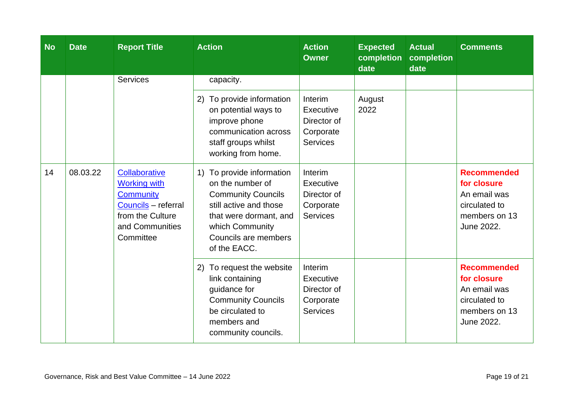| <b>No</b> | <b>Date</b> | <b>Report Title</b>                                                                                                                 | <b>Action</b>                                                                                                                                                                             | <b>Action</b><br><b>Owner</b>                                       | <b>Expected</b><br>completion<br>date | <b>Actual</b><br>completion<br>date | <b>Comments</b>                                                                                   |
|-----------|-------------|-------------------------------------------------------------------------------------------------------------------------------------|-------------------------------------------------------------------------------------------------------------------------------------------------------------------------------------------|---------------------------------------------------------------------|---------------------------------------|-------------------------------------|---------------------------------------------------------------------------------------------------|
|           |             | <b>Services</b>                                                                                                                     | capacity.                                                                                                                                                                                 |                                                                     |                                       |                                     |                                                                                                   |
|           |             |                                                                                                                                     | To provide information<br>2)<br>on potential ways to<br>improve phone<br>communication across<br>staff groups whilst<br>working from home.                                                | Interim<br>Executive<br>Director of<br>Corporate<br><b>Services</b> | August<br>2022                        |                                     |                                                                                                   |
| 14        | 08.03.22    | Collaborative<br><b>Working with</b><br><b>Community</b><br>Councils - referral<br>from the Culture<br>and Communities<br>Committee | 1) To provide information<br>on the number of<br><b>Community Councils</b><br>still active and those<br>that were dormant, and<br>which Community<br>Councils are members<br>of the EACC. | Interim<br>Executive<br>Director of<br>Corporate<br><b>Services</b> |                                       |                                     | <b>Recommended</b><br>for closure<br>An email was<br>circulated to<br>members on 13<br>June 2022. |
|           |             |                                                                                                                                     | To request the website<br>2)<br>link containing<br>guidance for<br><b>Community Councils</b><br>be circulated to<br>members and<br>community councils.                                    | Interim<br>Executive<br>Director of<br>Corporate<br><b>Services</b> |                                       |                                     | <b>Recommended</b><br>for closure<br>An email was<br>circulated to<br>members on 13<br>June 2022. |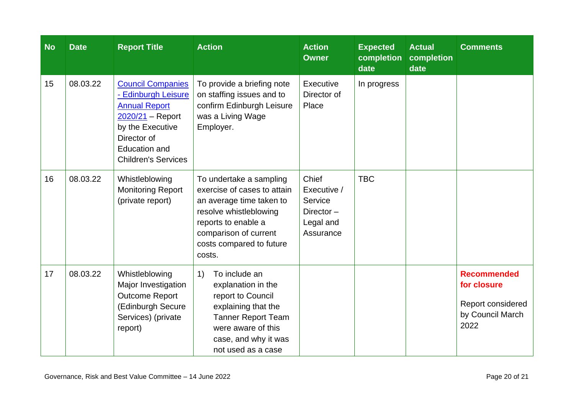| <b>No</b> | <b>Date</b> | <b>Report Title</b>                                                                                                                                                                    | <b>Action</b>                                                                                                                                                                                      | <b>Action</b><br><b>Owner</b>                                          | <b>Expected</b><br>completion<br>date | <b>Actual</b><br>completion<br>date | <b>Comments</b>                                                                    |
|-----------|-------------|----------------------------------------------------------------------------------------------------------------------------------------------------------------------------------------|----------------------------------------------------------------------------------------------------------------------------------------------------------------------------------------------------|------------------------------------------------------------------------|---------------------------------------|-------------------------------------|------------------------------------------------------------------------------------|
| 15        | 08.03.22    | <b>Council Companies</b><br>- Edinburgh Leisure<br><b>Annual Report</b><br>$2020/21 -$ Report<br>by the Executive<br>Director of<br><b>Education and</b><br><b>Children's Services</b> | To provide a briefing note<br>on staffing issues and to<br>confirm Edinburgh Leisure<br>was a Living Wage<br>Employer.                                                                             | Executive<br>Director of<br>Place                                      | In progress                           |                                     |                                                                                    |
| 16        | 08.03.22    | Whistleblowing<br><b>Monitoring Report</b><br>(private report)                                                                                                                         | To undertake a sampling<br>exercise of cases to attain<br>an average time taken to<br>resolve whistleblowing<br>reports to enable a<br>comparison of current<br>costs compared to future<br>costs. | Chief<br>Executive /<br>Service<br>Director-<br>Legal and<br>Assurance | <b>TBC</b>                            |                                     |                                                                                    |
| 17        | 08.03.22    | Whistleblowing<br>Major Investigation<br><b>Outcome Report</b><br>(Edinburgh Secure<br>Services) (private<br>report)                                                                   | To include an<br>1)<br>explanation in the<br>report to Council<br>explaining that the<br><b>Tanner Report Team</b><br>were aware of this<br>case, and why it was<br>not used as a case             |                                                                        |                                       |                                     | <b>Recommended</b><br>for closure<br>Report considered<br>by Council March<br>2022 |